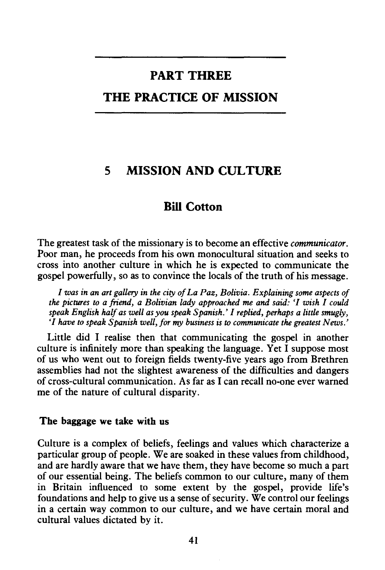# **PART THREE**

## **THE PRACTICE OF MISSION**

### **5 MISSION AND CULTURE**

### **Bill Cotton**

The greatest task of the missionary is to become an effective *communicator.*  Poor man, he proceeds from his own monocultural situation and seeks to cross into another culture in which he is expected to communicate the gospel powerfully, so as to convince the locals of the truth of his message.

*I was in an art gallery in the city of La Paz, Bolivia. Explaining some aspects of the pictures to a friend, a Bolivian lady approached me and said: 'I wish I could speak English half as well as you speak Spanish.' I replied, perhaps a little smugly, 'I have to speak Spanish well, for my business is to communicate the greatest News.'* 

Little did I realise then that communicating the gospel in another culture is infinitely more than speaking the language. Yet I suppose most of us who went out to foreign fields twenty-five years ago from Brethren assemblies had not the slightest awareness of the difficulties and dangers of cross-cultural communication. As far as I can recall no-one ever warned me of the nature of cultural disparity.

#### **The baggage we take with us**

Culture is a complex of beliefs, feelings and values which characterize a particular group of people. We are soaked in these values from childhood, and are hardly aware that we have them, they have become so much a part of our essential being. The beliefs common to our culture, many of them in Britain influenced to some extent by the gospel, provide life's foundations and help to give us a sense of security. We control our feelings in a certain way common to our culture, and we have certain moral and cultural values dictated by it.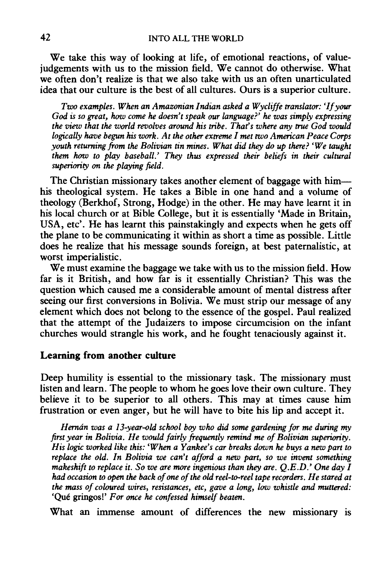We take this way of looking at life, of emotional reactions, of valuejudgements with us to the mission field. We cannot do otherwise. What we often don't realize is that we also take with us an often unarticulated idea that our culture is the best of all cultures. Ours is a superior culture.

*Two examples. When an Amazonian Indian asked a Wycliffe translator: 'If your God is so great, how come he doesn't speak our language?' he was simply expressing the view that the world revolves around his tribe. That's where any true God would logically have begun his work. At the other extreme I met two American Peace Corps youth returning from the Bolivian tin mines. What did they do up there? 'We taught them* how *to play baseball.' They thus expressed their beliefs in their cultural superiority on the playing field.* 

The Christian missionary takes another element of baggage with himhis theological system. He takes a Bible in one hand and a volume of theology (Berkhof, Strong, Hodge) in the other. He may have learnt it in his local church or at Bible College, but it is essentially 'Made in Britain, USA, etc'. He has learnt this painstakingly and expects when he gets off the plane to be communicating it within as short a time as possible. Little does he realize that his message sounds foreign, at best paternalistic, at worst imperialistic.

We must examine the baggage we take with us to the mission field. How far is it British, and how far is it essentially Christian? This was the question which caused me a considerable amount of mental distress after seeing our first conversions in Bolivia. We must strip our message of any element which does not belong to the essence of the gospel. Paul realized that the attempt of the Judaizers to impose circumcision on the infant churches would strangle his work, and he fought tenaciously against it.

#### **Learning from another culture**

Deep humility is essential to the missionary task. The missionary must listen and learn. The people to whom he goes love their own culture. They believe it to be superior to all others. This may at times cause him frustration or even anger, but he will have to bite his lip and accept it.

*Hernan was a 13-year-old school boy who did some gardening for me during my first year in Bolivia. He would fairly frequently remind me of Bolivian superiority. His logic worked like this: 'When a Yankee's car breaks down he buys a new part to replace the old. In Bolivia we can't afford a new part, so we invent something makeshift to replace it. So we are more ingenious than they are. Q.E.D.' One day I had occasion to open the back of one of the old reel-to-reel tape recorders. He stared at the mass of coloured wires, resistances, etc, gave a long, low whistle and muttered:*  'Que gringos!' *For once he confessed himself beaten.* 

What an immense amount of differences the new missionary is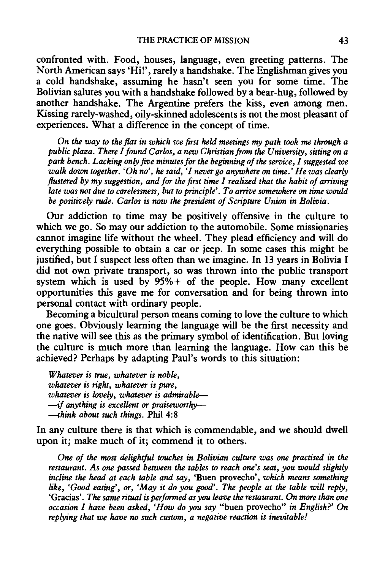confronted with. Food, houses, language, even greeting patterns. The North American says 'Hi!', rarely a handshake. The Englishman gives you a cold handshake, assuming he hasn't seen you for some time. The Bolivian salutes you with a handshake followed by a bear-hug, followed by another handshake. The Argentine prefers the kiss, even among men. Kissing rarely-washed, oily-skinned adolescents is not the most pleasant of experiences. What a difference in the concept of time.

*On the way to the flat in which we first held meetings my path took me through a public plaza. There I found Car/os, a new Christian from the University, sitting on a park bench. Lacking only five minutes for the beginning of the service, I suggested we walk down together. 'Oh no', he said, 'I never go anywhere on time.' He was clearly flustered by my suggestion, and for the first time I realized that the habit of arriving late was not due to carelessness, but to principle'. To arrive somewhere on time would be positively rude. Car/os is* now *the president of Scripture Union in Bolivia.* 

Our addiction to time may be positively offensive in the culture to which we go. So may our addiction to the automobile. Some missionaries cannot imagine life without the wheel. They plead efficiency and will do everything possible to obtain a car or jeep. In some cases this might be justified, but I suspect less often than we imagine. In 13 years in Bolivia I did not own private transport, so was thrown into the public transport system which is used by 95%+ of the people. How many excellent opportunities this gave me for conversation and for being thrown into personal contact with ordinary people.

Becoming a bicultural person means coming to love the culture to which one goes. Obviously learning the language will be the first necessity and the native will see this as the primary symbol of identification. But loving the culture is much more than learning the language. How can this be achieved? Perhaps by adapting Paul's words to this situation:

*Whatever is true, whatever is noble, whatever is right, whatever is pure, whatever is lovely, whatever is admirable- -if anything is excellent or praiseworthy- -think about such things.* Phil 4:8

In any culture there is that which is commendable, and we should dwell upon it; make much of it; commend it to others.

*One of the most delightful touches in Bolivian culture was one practised in the restaurant. As one passed between the tables to reach one's seat, you would slightly incline the head at each table and say,* 'Buen provecho', *which means something like, 'Good eating', or, 'May it do you good'. The people at the table will reply,*  'Gracias'. *The same ritual is performed as you leave the restaurant. On more than one occasion I have been asked, 'How do you say* "buen provecho" *in English?' On replying that we have no such custom, a negative reaction is inevitable!*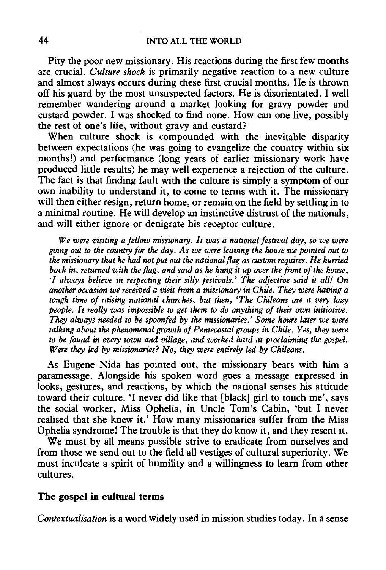Pity the poor new missionary. His reactions during the first few months are crucial. *Culture shock* is primarily negative reaction to a new culture and almost always occurs during these first crucial months. He is thrown off his guard by the most unsuspected factors. He is disorientated. I well remember wandering around a market looking for gravy powder and custard powder. I was shocked to find none. How can one live, possibly the rest of one's life, without gravy and custard?

When culture shock is compounded with the inevitable disparity between expectations (he was going to evangelize the country within six months!) and performance (long years of earlier missionary work have produced little results) he may well experience a rejection of the culture. The fact is that finding fault with the culture is simply a symptom of our own inability to understand it, to come to terms with it. The missionary will then either resign, return home, or remain on the field by settling in to a minimal routine. He will develop an instinctive distrust of the nationals, and will either ignore or denigrate his receptor culture.

*We were visiting a fellow missionary. It was a national festival day, so we were going out to the country for the day. As we were leaving the house we pointed out* to *the missionary that he had not put out the national flag as custom requires. He hurried back in, returned with the flag, and said as he hung it up over the front of the house, 'I always believe in respecting their silly festivals.' The adjective said it all! On another occasion we received a visit from a missionary in Chile. They were having a tough time of raising national churches, but then, 'The Chileans are a very lazy people. It really was impossible to get them to do anything of their own initiative. They always needed to be spoonfed by the missionaries.' Some hours later we were talking about the phenomenal growth of Pentecostal groups in Chile. Yes, they were to be found in every town and village, and worked hard at proclaiming the gospel. Were they led by missionaries? No, they were entirely led by Chileans.* 

As Eugene Nida has pointed out, the missionary bears with him a paramessage. Alongside his spoken word goes a message expressed in looks, gestures, and reactions, by which the national senses his attitude toward their culture. 'I never did like that [black] girl to touch me', says the social worker, Miss Ophelia, in Uncle Tom's Cabin, 'but I never realised that she knew it.' How many missionaries suffer from the Miss Ophelia syndrome! The trouble is that they do know it, and they resent it.

We must by all means possible strive to eradicate from ourselves and from those we send out to the field all vestiges of cultural superiority. We must inculcate a spirit of humility and a willingness to learn from other cultures.

#### **The gospel in cultural terms**

*Contextualisation* is a word widely used in mission studies today. In a sense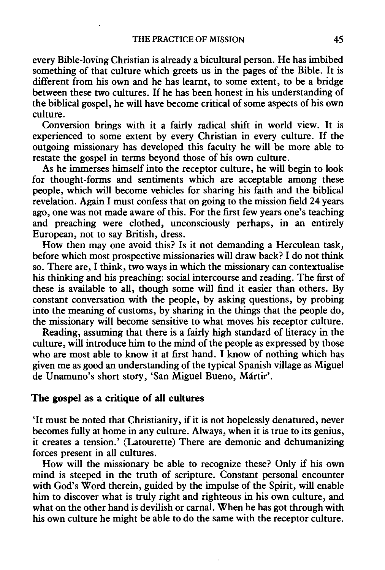every Bible-loving Christian is already a bicultural person. He has imbibed something of that culture which greets us in the pages of the Bible. It is different from his own and he has learnt, to some extent, to be a bridge between these two cultures. If he has been honest in his understanding of the biblical gospel, he will have become critical of some aspects of his own culture.

Conversion brings with it a fairly radical shift in world view. It is experienced to some extent by every Christian in every culture. If the outgoing missionary has developed this faculty he will be more able to restate the gospel in terms beyond those of his own culture.

As he immerses himself into the receptor culture, he will begin to look for thought-forms and sentiments which are acceptable among these people, which will become vehicles for sharing his faith and the biblical revelation. Again I must confess that on going to the mission field 24 years ago, one was not made aware of this. For the first few years one's teaching and preaching were clothed, unconsciously perhaps, in an entirely European, not to say British, dress.

How then may one avoid this? Is it not demanding a Herculean task, before which most prospective missionaries will draw back? I do not think so. There are, I think, two ways in which the missionary can contextualise his thinking and his preaching: social intercourse and reading. The first of these is available to all, though some will find it easier than others. By constant conversation with the people, by asking questions, by probing into the meaning of customs, by sharing in the things that the people do, the missionary will become sensitive to what moves his receptor culture.

Reading, assuming that there is a fairly high standard of literacy in the culture, will introduce him to the mind of the people as expressed by those who are most able to know it at first hand. I know of nothing which has given me as good an understanding of the typical Spanish village as Miguel de Unamuno's short story, 'San Miguel Bueno, Martir'.

#### **The gospel** as a **critique of all cultures**

'It must be noted that Christianity, if it is not hopelessly denatured, never becomes fully at home in any culture. Always, when it is true to its genius, it creates a tension.' (Latourette) There are demonic and dehumanizing forces present in all cultures.

How will the missionary be able to recognize these? Only if his own mind is steeped in the truth of scripture. Constant personal encounter with God's Word therein, guided by the impulse of the Spirit, will enable him to discover what is truly right and righteous in his own culture, and what on the other hand is devilish or carnal. When he has got through with his own culture he might be able to do the same with the receptor culture.